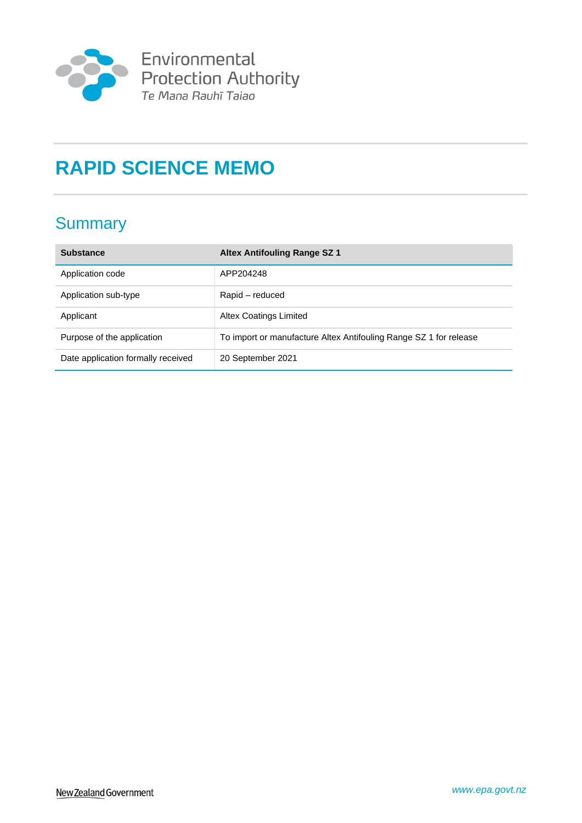

# **RAPID SCIENCE MEMO**

# **Summary**

| <b>Substance</b>                   | <b>Altex Antifouling Range SZ 1</b>                               |
|------------------------------------|-------------------------------------------------------------------|
| Application code                   | APP204248                                                         |
| Application sub-type               | Rapid – reduced                                                   |
| Applicant                          | <b>Altex Coatings Limited</b>                                     |
| Purpose of the application         | To import or manufacture Altex Antifouling Range SZ 1 for release |
| Date application formally received | 20 September 2021                                                 |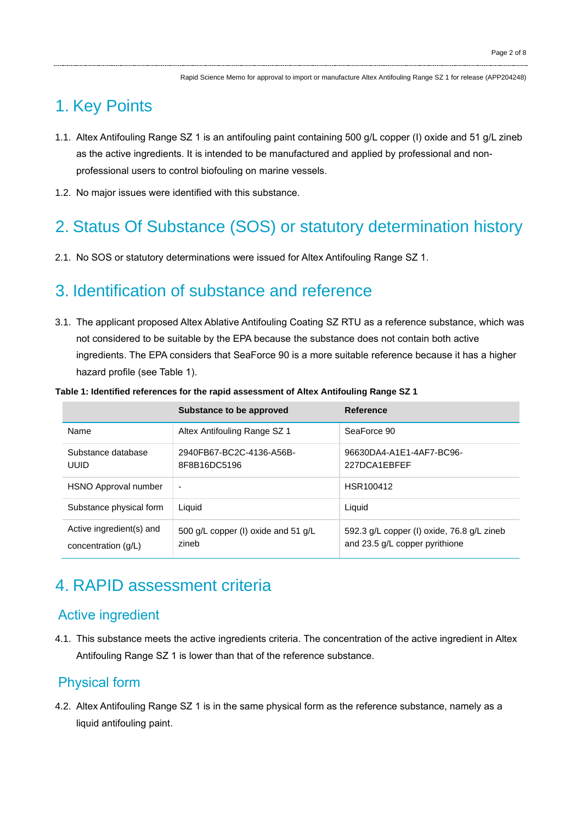# 1. Key Points

- 1.1. Altex Antifouling Range SZ 1 is an antifouling paint containing 500 g/L copper (I) oxide and 51 g/L zineb as the active ingredients. It is intended to be manufactured and applied by professional and nonprofessional users to control biofouling on marine vessels.
- 1.2. No major issues were identified with this substance.

# 2. Status Of Substance (SOS) or statutory determination history

2.1. No SOS or statutory determinations were issued for Altex Antifouling Range SZ 1.

# 3. Identification of substance and reference

3.1. The applicant proposed Altex Ablative Antifouling Coating SZ RTU as a reference substance, which was not considered to be suitable by the EPA because the substance does not contain both active ingredients. The EPA considers that SeaForce 90 is a more suitable reference because it has a higher hazard profile (see Table 1).

|                                                 | Substance to be approved                     | Reference                                                                      |
|-------------------------------------------------|----------------------------------------------|--------------------------------------------------------------------------------|
| Name                                            | Altex Antifouling Range SZ 1                 | SeaForce 90                                                                    |
| Substance database<br>UUID                      | 2940FB67-BC2C-4136-A56B-<br>8F8B16DC5196     | 96630DA4-A1E1-4AF7-BC96-<br>227DCA1EBFEF                                       |
| HSNO Approval number                            | $\overline{\phantom{a}}$                     | HSR100412                                                                      |
| Substance physical form                         | Liquid                                       | Liquid                                                                         |
| Active ingredient(s) and<br>concentration (g/L) | 500 g/L copper (I) oxide and 51 g/L<br>zineb | 592.3 g/L copper (I) oxide, 76.8 g/L zineb<br>and $23.5$ g/L copper pyrithione |

#### **Table 1: Identified references for the rapid assessment of Altex Antifouling Range SZ 1**

# 4. RAPID assessment criteria

### Active ingredient

4.1. This substance meets the active ingredients criteria. The concentration of the active ingredient in Altex Antifouling Range SZ 1 is lower than that of the reference substance.

### Physical form

4.2. Altex Antifouling Range SZ 1 is in the same physical form as the reference substance, namely as a liquid antifouling paint.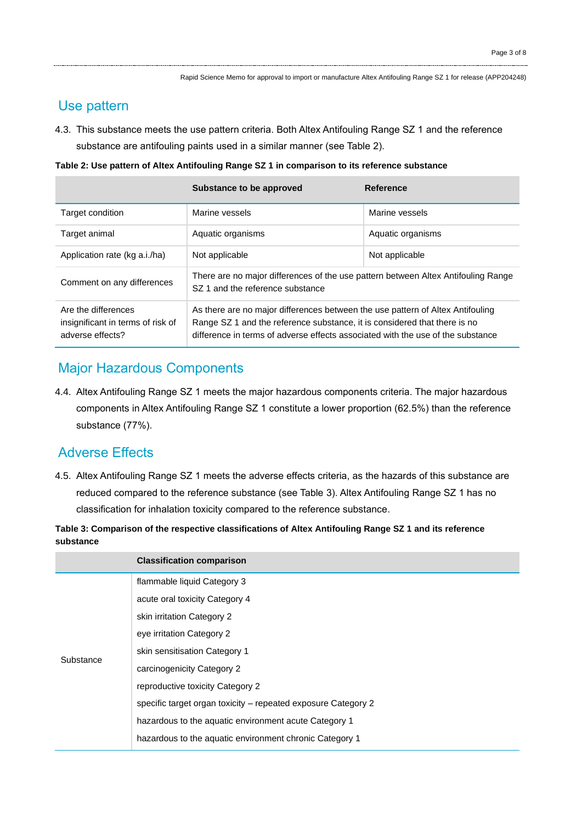## Use pattern

4.3. This substance meets the use pattern criteria. Both Altex Antifouling Range SZ 1 and the reference substance are antifouling paints used in a similar manner (see Table 2).

**Table 2: Use pattern of Altex Antifouling Range SZ 1 in comparison to its reference substance**

|                                                                              | Substance to be approved                                                                                                                                                                                                                       | Reference         |
|------------------------------------------------------------------------------|------------------------------------------------------------------------------------------------------------------------------------------------------------------------------------------------------------------------------------------------|-------------------|
| Target condition                                                             | Marine vessels                                                                                                                                                                                                                                 | Marine vessels    |
| Target animal                                                                | Aquatic organisms                                                                                                                                                                                                                              | Aquatic organisms |
| Application rate (kg a.i./ha)                                                | Not applicable                                                                                                                                                                                                                                 | Not applicable    |
| Comment on any differences                                                   | There are no major differences of the use pattern between Altex Antifouling Range<br>SZ 1 and the reference substance                                                                                                                          |                   |
| Are the differences<br>insignificant in terms of risk of<br>adverse effects? | As there are no major differences between the use pattern of Altex Antifouling<br>Range SZ 1 and the reference substance, it is considered that there is no<br>difference in terms of adverse effects associated with the use of the substance |                   |

## Major Hazardous Components

4.4. Altex Antifouling Range SZ 1 meets the major hazardous components criteria. The major hazardous components in Altex Antifouling Range SZ 1 constitute a lower proportion (62.5%) than the reference substance (77%).

## Adverse Effects

4.5. Altex Antifouling Range SZ 1 meets the adverse effects criteria, as the hazards of this substance are reduced compared to the reference substance (see Table 3). Altex Antifouling Range SZ 1 has no classification for inhalation toxicity compared to the reference substance.

| Table 3: Comparison of the respective classifications of Altex Antifouling Range SZ 1 and its reference |  |
|---------------------------------------------------------------------------------------------------------|--|
| substance                                                                                               |  |

|           | <b>Classification comparison</b>                              |
|-----------|---------------------------------------------------------------|
| Substance | flammable liquid Category 3                                   |
|           | acute oral toxicity Category 4                                |
|           | skin irritation Category 2                                    |
|           | eye irritation Category 2                                     |
|           | skin sensitisation Category 1                                 |
|           | carcinogenicity Category 2                                    |
|           | reproductive toxicity Category 2                              |
|           | specific target organ toxicity – repeated exposure Category 2 |
|           | hazardous to the aquatic environment acute Category 1         |
|           | hazardous to the aquatic environment chronic Category 1       |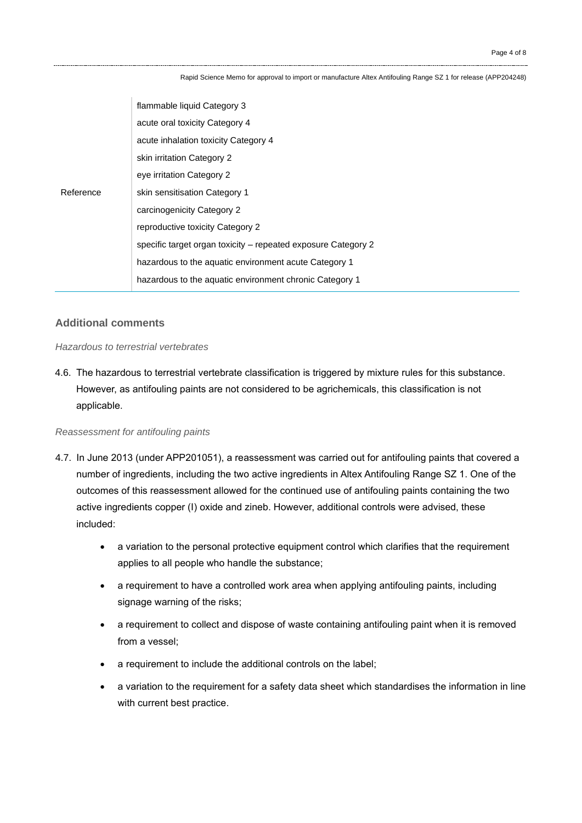|           | flammable liquid Category 3                                   |
|-----------|---------------------------------------------------------------|
|           | acute oral toxicity Category 4                                |
|           | acute inhalation toxicity Category 4                          |
|           | skin irritation Category 2                                    |
|           | eye irritation Category 2                                     |
| Reference | skin sensitisation Category 1                                 |
|           | carcinogenicity Category 2                                    |
|           | reproductive toxicity Category 2                              |
|           | specific target organ toxicity – repeated exposure Category 2 |
|           | hazardous to the aquatic environment acute Category 1         |
|           | hazardous to the aquatic environment chronic Category 1       |

#### **Additional comments**

*Hazardous to terrestrial vertebrates*

4.6. The hazardous to terrestrial vertebrate classification is triggered by mixture rules for this substance. However, as antifouling paints are not considered to be agrichemicals, this classification is not applicable.

#### *Reassessment for antifouling paints*

- 4.7. In June 2013 (under APP201051), a reassessment was carried out for antifouling paints that covered a number of ingredients, including the two active ingredients in Altex Antifouling Range SZ 1. One of the outcomes of this reassessment allowed for the continued use of antifouling paints containing the two active ingredients copper (I) oxide and zineb. However, additional controls were advised, these included:
	- a variation to the personal protective equipment control which clarifies that the requirement applies to all people who handle the substance;
	- a requirement to have a controlled work area when applying antifouling paints, including signage warning of the risks;
	- a requirement to collect and dispose of waste containing antifouling paint when it is removed from a vessel;
	- a requirement to include the additional controls on the label;
	- a variation to the requirement for a safety data sheet which standardises the information in line with current best practice.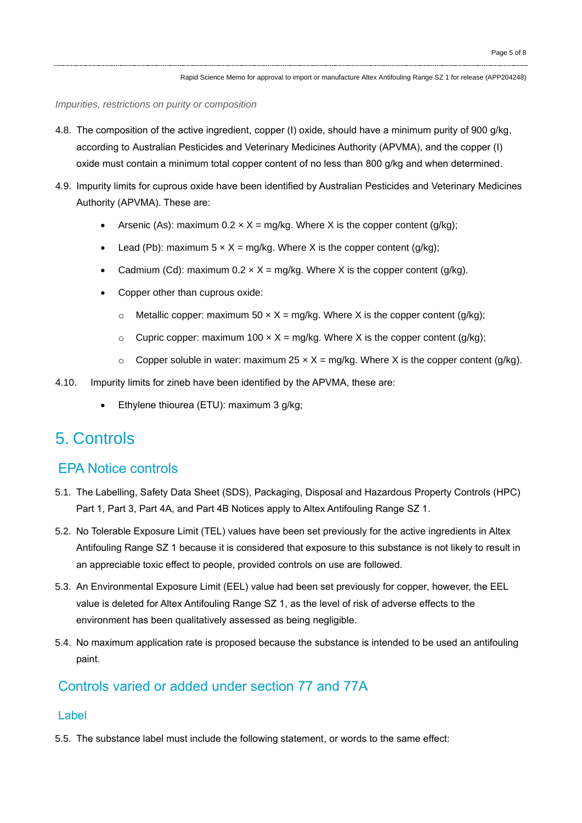*Impurities, restrictions on purity or composition*

- 4.8. The composition of the active ingredient, copper (I) oxide, should have a minimum purity of 900 g/kg, according to Australian Pesticides and Veterinary Medicines Authority (APVMA), and the copper (I) oxide must contain a minimum total copper content of no less than 800 g/kg and when determined.
- 4.9. Impurity limits for cuprous oxide have been identified by Australian Pesticides and Veterinary Medicines Authority (APVMA). These are:
	- Arsenic (As): maximum  $0.2 \times X = \frac{mg}{kg}$ . Where X is the copper content (g/kg);
	- Lead (Pb): maximum  $5 \times X = \text{mg/kg}$ . Where X is the copper content (g/kg);
	- Cadmium (Cd): maximum  $0.2 \times X = \frac{mg}{kg}$ . Where X is the copper content (g/kg).
	- Copper other than cuprous oxide:
		- $\circ$  Metallic copper: maximum 50  $\times$  X = mg/kg. Where X is the copper content (g/kg);
		- $\circ$  Cupric copper: maximum 100 x X = mg/kg. Where X is the copper content (g/kg);
		- Copper soluble in water: maximum  $25 \times X = \frac{mg}{kq}$ . Where X is the copper content (q/kg).
- 4.10. Impurity limits for zineb have been identified by the APVMA, these are:
	- Ethylene thiourea (ETU): maximum 3 g/kg;

# 5. Controls

### EPA Notice controls

- 5.1. The Labelling, Safety Data Sheet (SDS), Packaging, Disposal and Hazardous Property Controls (HPC) Part 1, Part 3, Part 4A, and Part 4B Notices apply to Altex Antifouling Range SZ 1.
- 5.2. No Tolerable Exposure Limit (TEL) values have been set previously for the active ingredients in Altex Antifouling Range SZ 1 because it is considered that exposure to this substance is not likely to result in an appreciable toxic effect to people, provided controls on use are followed.
- 5.3. An Environmental Exposure Limit (EEL) value had been set previously for copper, however, the EEL value is deleted for Altex Antifouling Range SZ 1, as the level of risk of adverse effects to the environment has been qualitatively assessed as being negligible.
- 5.4. No maximum application rate is proposed because the substance is intended to be used an antifouling paint.

## Controls varied or added under section 77 and 77A

#### Label

5.5. The substance label must include the following statement, or words to the same effect: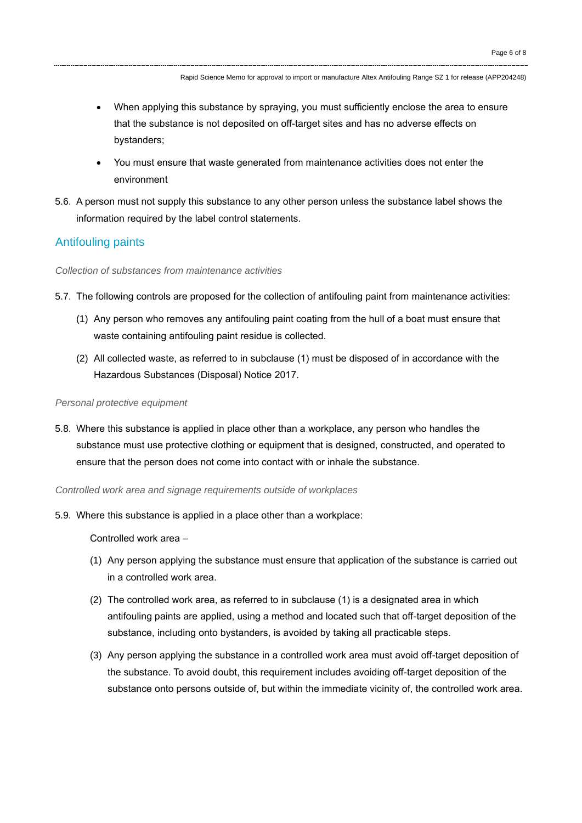- When applying this substance by spraying, you must sufficiently enclose the area to ensure that the substance is not deposited on off-target sites and has no adverse effects on bystanders;
- You must ensure that waste generated from maintenance activities does not enter the environment
- 5.6. A person must not supply this substance to any other person unless the substance label shows the information required by the label control statements.

### Antifouling paints

#### *Collection of substances from maintenance activities*

- 5.7. The following controls are proposed for the collection of antifouling paint from maintenance activities:
	- (1) Any person who removes any antifouling paint coating from the hull of a boat must ensure that waste containing antifouling paint residue is collected.
	- (2) All collected waste, as referred to in subclause (1) must be disposed of in accordance with the Hazardous Substances (Disposal) Notice 2017.

#### *Personal protective equipment*

5.8. Where this substance is applied in place other than a workplace, any person who handles the substance must use protective clothing or equipment that is designed, constructed, and operated to ensure that the person does not come into contact with or inhale the substance.

*Controlled work area and signage requirements outside of workplaces*

5.9. Where this substance is applied in a place other than a workplace:

Controlled work area –

- (1) Any person applying the substance must ensure that application of the substance is carried out in a controlled work area.
- (2) The controlled work area, as referred to in subclause (1) is a designated area in which antifouling paints are applied, using a method and located such that off-target deposition of the substance, including onto bystanders, is avoided by taking all practicable steps.
- (3) Any person applying the substance in a controlled work area must avoid off-target deposition of the substance. To avoid doubt, this requirement includes avoiding off-target deposition of the substance onto persons outside of, but within the immediate vicinity of, the controlled work area.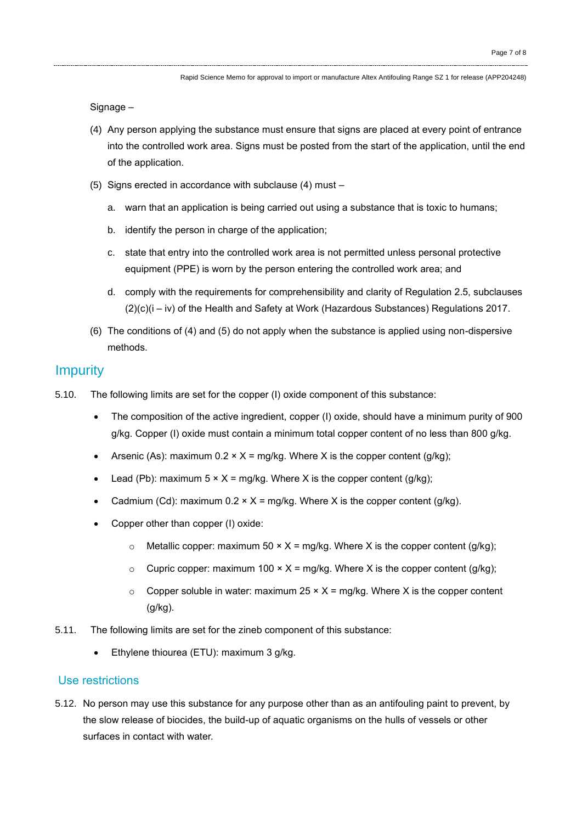Signage –

- (4) Any person applying the substance must ensure that signs are placed at every point of entrance into the controlled work area. Signs must be posted from the start of the application, until the end of the application.
- (5) Signs erected in accordance with subclause (4) must
	- a. warn that an application is being carried out using a substance that is toxic to humans;
	- b. identify the person in charge of the application;
	- c. state that entry into the controlled work area is not permitted unless personal protective equipment (PPE) is worn by the person entering the controlled work area; and
	- d. comply with the requirements for comprehensibility and clarity of Regulation 2.5, subclauses  $(2)(c)(i - iv)$  of the Health and Safety at Work (Hazardous Substances) Regulations 2017.
- (6) The conditions of (4) and (5) do not apply when the substance is applied using non-dispersive methods.

### **Impurity**

- 5.10. The following limits are set for the copper (I) oxide component of this substance:
	- The composition of the active ingredient, copper (I) oxide, should have a minimum purity of 900 g/kg. Copper (I) oxide must contain a minimum total copper content of no less than 800 g/kg.
	- Arsenic (As): maximum  $0.2 \times X = \frac{mg}{kg}$ . Where X is the copper content (g/kg);
	- Lead (Pb): maximum  $5 \times X = \text{mg/kg}$ . Where X is the copper content (g/kg);
	- Cadmium (Cd): maximum  $0.2 \times X = \text{mg/kg}$ . Where X is the copper content (g/kg).
	- Copper other than copper (I) oxide:
		- $\circ$  Metallic copper: maximum 50  $\times$  X = mg/kg. Where X is the copper content (g/kg);
		- $\circ$  Cupric copper: maximum 100 × X = mg/kg. Where X is the copper content (g/kg);
		- $\circ$  Copper soluble in water: maximum 25  $\times$  X = mg/kg. Where X is the copper content (g/kg).
- 5.11. The following limits are set for the zineb component of this substance:
	- Ethylene thiourea (ETU): maximum 3 g/kg.

### Use restrictions

5.12. No person may use this substance for any purpose other than as an antifouling paint to prevent, by the slow release of biocides, the build-up of aquatic organisms on the hulls of vessels or other surfaces in contact with water.